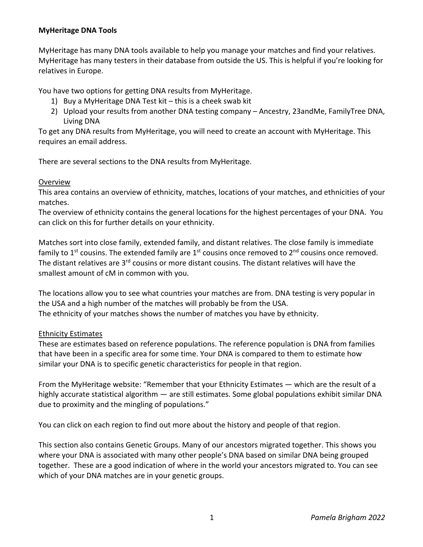# **MyHeritage DNA Tools**

MyHeritage has many DNA tools available to help you manage your matches and find your relatives. MyHeritage has many testers in their database from outside the US. This is helpful if you're looking for relatives in Europe.

You have two options for getting DNA results from MyHeritage.

- 1) Buy a MyHeritage DNA Test kit this is a cheek swab kit
- 2) Upload your results from another DNA testing company Ancestry, 23andMe, FamilyTree DNA, Living DNA

To get any DNA results from MyHeritage, you will need to create an account with MyHeritage. This requires an email address.

There are several sections to the DNA results from MyHeritage.

## **Overview**

This area contains an overview of ethnicity, matches, locations of your matches, and ethnicities of your matches.

The overview of ethnicity contains the general locations for the highest percentages of your DNA. You can click on this for further details on your ethnicity.

Matches sort into close family, extended family, and distant relatives. The close family is immediate family to 1<sup>st</sup> cousins. The extended family are 1<sup>st</sup> cousins once removed to 2<sup>nd</sup> cousins once removed. The distant relatives are 3<sup>rd</sup> cousins or more distant cousins. The distant relatives will have the smallest amount of cM in common with you.

The locations allow you to see what countries your matches are from. DNA testing is very popular in the USA and a high number of the matches will probably be from the USA. The ethnicity of your matches shows the number of matches you have by ethnicity.

### Ethnicity Estimates

These are estimates based on reference populations. The reference population is DNA from families that have been in a specific area for some time. Your DNA is compared to them to estimate how similar your DNA is to specific genetic characteristics for people in that region.

From the MyHeritage website: "Remember that your Ethnicity Estimates — which are the result of a highly accurate statistical algorithm — are still estimates. Some global populations exhibit similar DNA due to proximity and the mingling of populations."

You can click on each region to find out more about the history and people of that region.

This section also contains Genetic Groups. Many of our ancestors migrated together. This shows you where your DNA is associated with many other people's DNA based on similar DNA being grouped together. These are a good indication of where in the world your ancestors migrated to. You can see which of your DNA matches are in your genetic groups.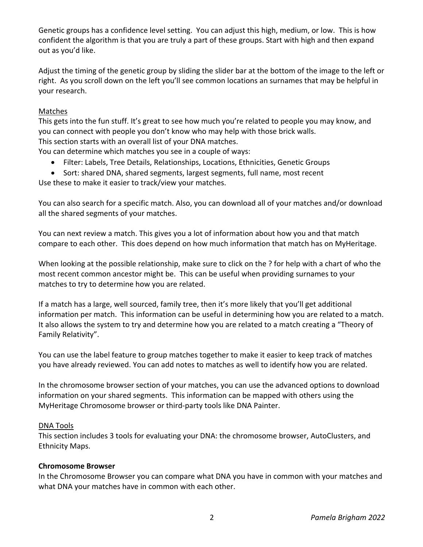Genetic groups has a confidence level setting. You can adjust this high, medium, or low. This is how confident the algorithm is that you are truly a part of these groups. Start with high and then expand out as you'd like.

Adjust the timing of the genetic group by sliding the slider bar at the bottom of the image to the left or right. As you scroll down on the left you'll see common locations an surnames that may be helpful in your research.

## Matches

This gets into the fun stuff. It's great to see how much you're related to people you may know, and you can connect with people you don't know who may help with those brick walls. This section starts with an overall list of your DNA matches.

You can determine which matches you see in a couple of ways:

- Filter: Labels, Tree Details, Relationships, Locations, Ethnicities, Genetic Groups
- Sort: shared DNA, shared segments, largest segments, full name, most recent

Use these to make it easier to track/view your matches.

You can also search for a specific match. Also, you can download all of your matches and/or download all the shared segments of your matches.

You can next review a match. This gives you a lot of information about how you and that match compare to each other. This does depend on how much information that match has on MyHeritage.

When looking at the possible relationship, make sure to click on the ? for help with a chart of who the most recent common ancestor might be. This can be useful when providing surnames to your matches to try to determine how you are related.

If a match has a large, well sourced, family tree, then it's more likely that you'll get additional information per match. This information can be useful in determining how you are related to a match. It also allows the system to try and determine how you are related to a match creating a "Theory of Family Relativity".

You can use the label feature to group matches together to make it easier to keep track of matches you have already reviewed. You can add notes to matches as well to identify how you are related.

In the chromosome browser section of your matches, you can use the advanced options to download information on your shared segments. This information can be mapped with others using the MyHeritage Chromosome browser or third-party tools like DNA Painter.

### DNA Tools

This section includes 3 tools for evaluating your DNA: the chromosome browser, AutoClusters, and Ethnicity Maps.

### **Chromosome Browser**

In the Chromosome Browser you can compare what DNA you have in common with your matches and what DNA your matches have in common with each other.